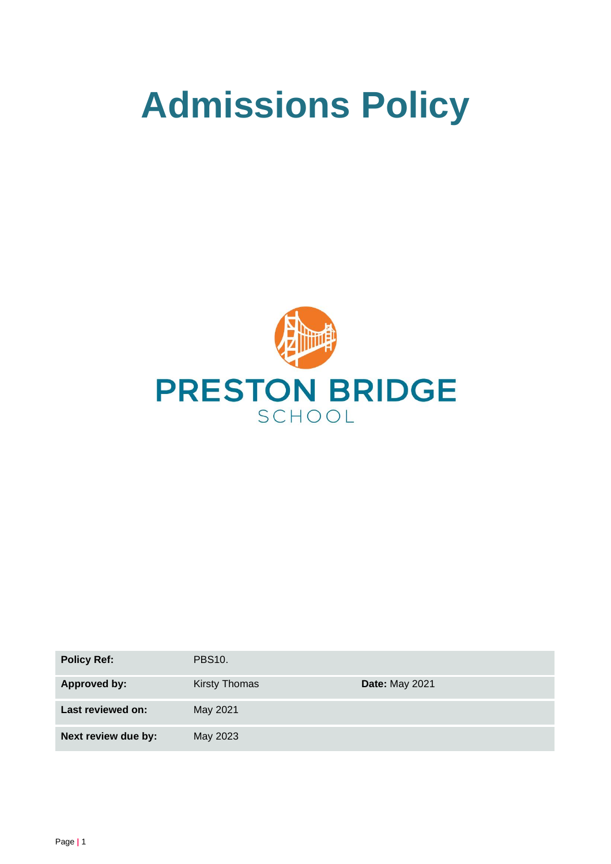# **Admissions Policy**



| <b>Policy Ref:</b>  | <b>PBS10.</b> |                       |
|---------------------|---------------|-----------------------|
| Approved by:        | Kirsty Thomas | <b>Date: May 2021</b> |
| Last reviewed on:   | May 2021      |                       |
| Next review due by: | May 2023      |                       |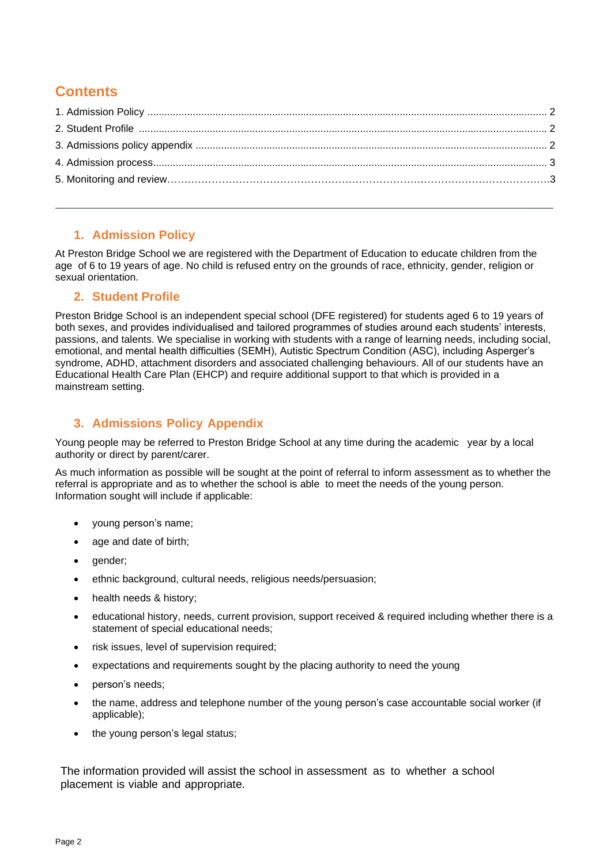# **Contents**

## **1. Admission Policy**

At Preston Bridge School we are registered with the Department of Education to educate children from the age of 6 to 19 years of age. No child is refused entry on the grounds of race, ethnicity, gender, religion or sexual orientation.

#### **2. Student Profile**

Preston Bridge School is an independent special school (DFE registered) for students aged 6 to 19 years of both sexes, and provides individualised and tailored programmes of studies around each students' interests, passions, and talents. We specialise in working with students with a range of learning needs, including social, emotional, and mental health difficulties (SEMH), Autistic Spectrum Condition (ASC), including Asperger's syndrome, ADHD, attachment disorders and associated challenging behaviours. All of our students have an Educational Health Care Plan (EHCP) and require additional support to that which is provided in a mainstream setting.

## **3. Admissions Policy Appendix**

Young people may be referred to Preston Bridge School at any time during the academic year by a local authority or direct by parent/carer.

As much information as possible will be sought at the point of referral to inform assessment as to whether the referral is appropriate and as to whether the school is able to meet the needs of the young person. Information sought will include if applicable:

- young person's name;
- age and date of birth;
- gender:
- ethnic background, cultural needs, religious needs/persuasion;
- health needs & history;
- educational history, needs, current provision, support received & required including whether there is a statement of special educational needs;
- risk issues, level of supervision required;
- expectations and requirements sought by the placing authority to need the young
- person's needs;
- the name, address and telephone number of the young person's case accountable social worker (if applicable);
- the young person's legal status;

The information provided will assist the school in assessment as to whether a school placement is viable and appropriate.